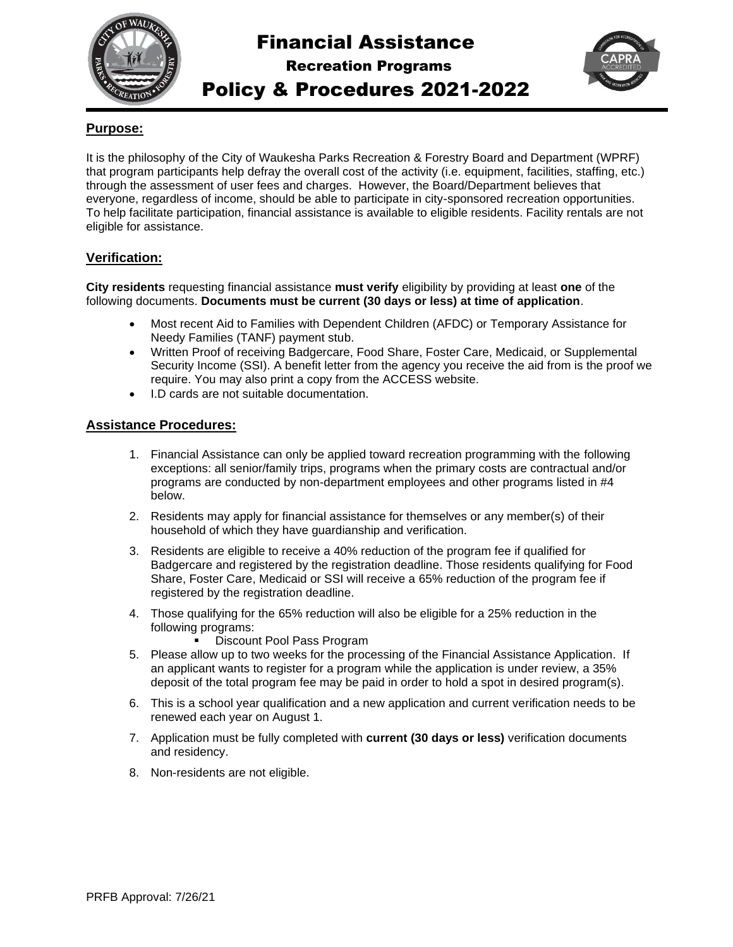

# Financial Assistance

Recreation Programs



## Policy & Procedures 2021-2022

### **Purpose:**

It is the philosophy of the City of Waukesha Parks Recreation & Forestry Board and Department (WPRF) that program participants help defray the overall cost of the activity (i.e. equipment, facilities, staffing, etc.) through the assessment of user fees and charges. However, the Board/Department believes that everyone, regardless of income, should be able to participate in city-sponsored recreation opportunities. To help facilitate participation, financial assistance is available to eligible residents. Facility rentals are not eligible for assistance.

#### **Verification:**

**City residents** requesting financial assistance **must verify** eligibility by providing at least **one** of the following documents. **Documents must be current (30 days or less) at time of application**.

- Most recent Aid to Families with Dependent Children (AFDC) or Temporary Assistance for Needy Families (TANF) payment stub.
- Written Proof of receiving Badgercare, Food Share, Foster Care, Medicaid, or Supplemental Security Income (SSI). A benefit letter from the agency you receive the aid from is the proof we require. You may also print a copy from the ACCESS website.
- I.D cards are not suitable documentation.

#### **Assistance Procedures:**

- 1. Financial Assistance can only be applied toward recreation programming with the following exceptions: all senior/family trips, programs when the primary costs are contractual and/or programs are conducted by non-department employees and other programs listed in #4 below.
- 2. Residents may apply for financial assistance for themselves or any member(s) of their household of which they have guardianship and verification.
- 3. Residents are eligible to receive a 40% reduction of the program fee if qualified for Badgercare and registered by the registration deadline. Those residents qualifying for Food Share, Foster Care, Medicaid or SSI will receive a 65% reduction of the program fee if registered by the registration deadline.
- 4. Those qualifying for the 65% reduction will also be eligible for a 25% reduction in the following programs:
	- Discount Pool Pass Program
- 5. Please allow up to two weeks for the processing of the Financial Assistance Application. If an applicant wants to register for a program while the application is under review, a 35% deposit of the total program fee may be paid in order to hold a spot in desired program(s).
- 6. This is a school year qualification and a new application and current verification needs to be renewed each year on August 1.
- 7. Application must be fully completed with **current (30 days or less)** verification documents and residency.
- 8. Non-residents are not eligible.